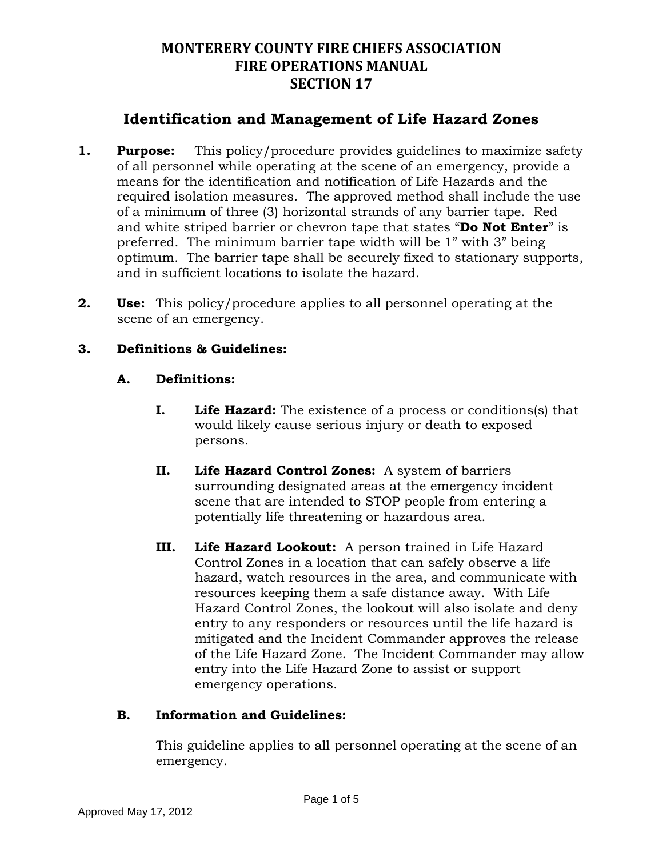## **Identification and Management of Life Hazard Zones**

- **1. Purpose:** This policy/procedure provides guidelines to maximize safety of all personnel while operating at the scene of an emergency, provide a means for the identification and notification of Life Hazards and the required isolation measures. The approved method shall include the use of a minimum of three (3) horizontal strands of any barrier tape. Red and white striped barrier or chevron tape that states "**Do Not Enter**" is preferred. The minimum barrier tape width will be 1" with 3" being optimum. The barrier tape shall be securely fixed to stationary supports, and in sufficient locations to isolate the hazard.
- **2. Use:** This policy/procedure applies to all personnel operating at the scene of an emergency.

### **3. Definitions & Guidelines:**

#### **A. Definitions:**

- **I. Life Hazard:** The existence of a process or conditions(s) that would likely cause serious injury or death to exposed persons.
- **II. Life Hazard Control Zones:** A system of barriers surrounding designated areas at the emergency incident scene that are intended to STOP people from entering a potentially life threatening or hazardous area.
- **III. Life Hazard Lookout:** A person trained in Life Hazard Control Zones in a location that can safely observe a life hazard, watch resources in the area, and communicate with resources keeping them a safe distance away. With Life Hazard Control Zones, the lookout will also isolate and deny entry to any responders or resources until the life hazard is mitigated and the Incident Commander approves the release of the Life Hazard Zone. The Incident Commander may allow entry into the Life Hazard Zone to assist or support emergency operations.

#### **B. Information and Guidelines:**

This guideline applies to all personnel operating at the scene of an emergency.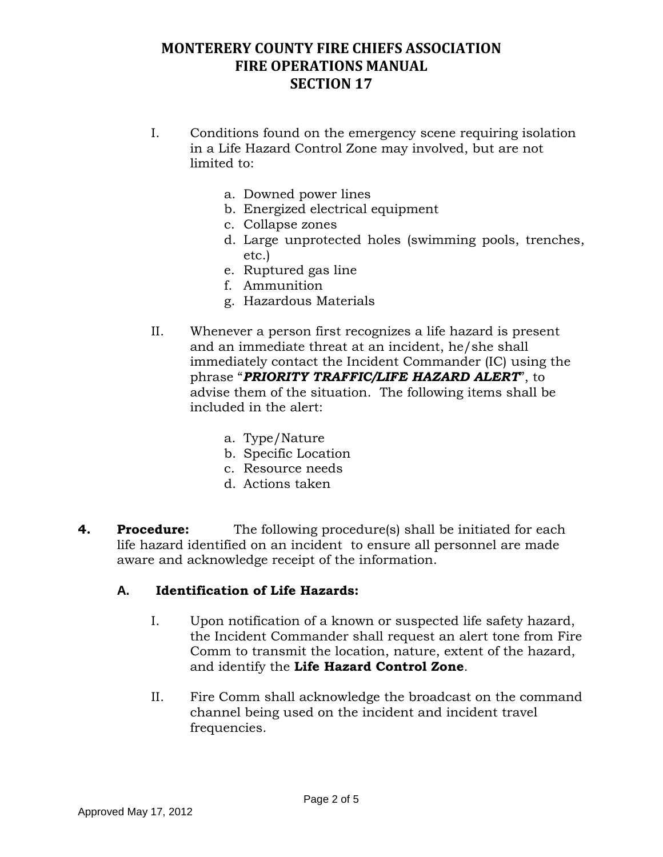- I. Conditions found on the emergency scene requiring isolation in a Life Hazard Control Zone may involved, but are not limited to:
	- a. Downed power lines
	- b. Energized electrical equipment
	- c. Collapse zones
	- d. Large unprotected holes (swimming pools, trenches, etc.)
	- e. Ruptured gas line
	- f. Ammunition
	- g. Hazardous Materials
- II. Whenever a person first recognizes a life hazard is present and an immediate threat at an incident, he/she shall immediately contact the Incident Commander (IC) using the phrase "*PRIORITY TRAFFIC/LIFE HAZARD ALERT*", to advise them of the situation. The following items shall be included in the alert:
	- a. Type/Nature
	- b. Specific Location
	- c. Resource needs
	- d. Actions taken
- **4. Procedure:** The following procedure(s) shall be initiated for each life hazard identified on an incident to ensure all personnel are made aware and acknowledge receipt of the information.

#### **A. Identification of Life Hazards:**

- I. Upon notification of a known or suspected life safety hazard, the Incident Commander shall request an alert tone from Fire Comm to transmit the location, nature, extent of the hazard, and identify the **Life Hazard Control Zone**.
- II. Fire Comm shall acknowledge the broadcast on the command channel being used on the incident and incident travel frequencies.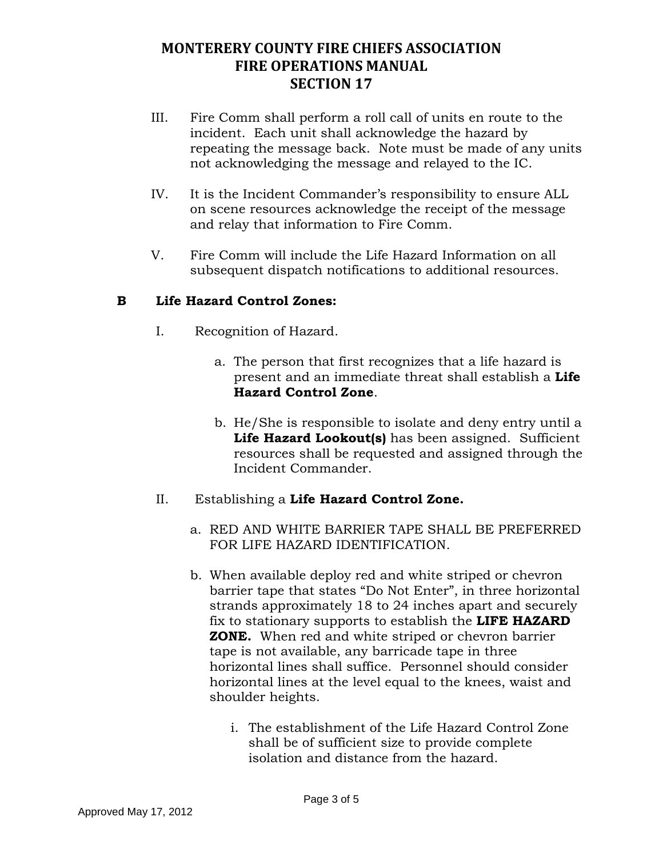- III. Fire Comm shall perform a roll call of units en route to the incident. Each unit shall acknowledge the hazard by repeating the message back. Note must be made of any units not acknowledging the message and relayed to the IC.
- IV. It is the Incident Commander's responsibility to ensure ALL on scene resources acknowledge the receipt of the message and relay that information to Fire Comm.
- V. Fire Comm will include the Life Hazard Information on all subsequent dispatch notifications to additional resources.

### **B Life Hazard Control Zones:**

- I. Recognition of Hazard.
	- a. The person that first recognizes that a life hazard is present and an immediate threat shall establish a **Life Hazard Control Zone**.
	- b. He/She is responsible to isolate and deny entry until a **Life Hazard Lookout(s)** has been assigned. Sufficient resources shall be requested and assigned through the Incident Commander.
- II. Establishing a **Life Hazard Control Zone.**
	- a. RED AND WHITE BARRIER TAPE SHALL BE PREFERRED FOR LIFE HAZARD IDENTIFICATION.
	- b. When available deploy red and white striped or chevron barrier tape that states "Do Not Enter", in three horizontal strands approximately 18 to 24 inches apart and securely fix to stationary supports to establish the **LIFE HAZARD ZONE.** When red and white striped or chevron barrier tape is not available, any barricade tape in three horizontal lines shall suffice. Personnel should consider horizontal lines at the level equal to the knees, waist and shoulder heights.
		- i. The establishment of the Life Hazard Control Zone shall be of sufficient size to provide complete isolation and distance from the hazard.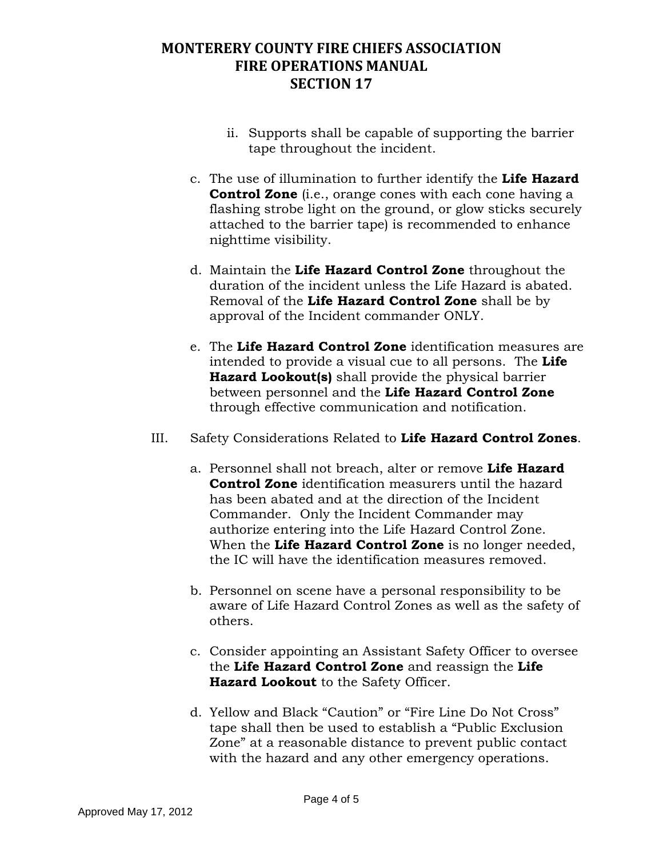- ii. Supports shall be capable of supporting the barrier tape throughout the incident.
- c. The use of illumination to further identify the **Life Hazard Control Zone** (i.e., orange cones with each cone having a flashing strobe light on the ground, or glow sticks securely attached to the barrier tape) is recommended to enhance nighttime visibility.
- d. Maintain the **Life Hazard Control Zone** throughout the duration of the incident unless the Life Hazard is abated. Removal of the **Life Hazard Control Zone** shall be by approval of the Incident commander ONLY.
- e. The **Life Hazard Control Zone** identification measures are intended to provide a visual cue to all persons. The **Life Hazard Lookout(s)** shall provide the physical barrier between personnel and the **Life Hazard Control Zone** through effective communication and notification.
- III. Safety Considerations Related to **Life Hazard Control Zones**.
	- a. Personnel shall not breach, alter or remove **Life Hazard Control Zone** identification measurers until the hazard has been abated and at the direction of the Incident Commander. Only the Incident Commander may authorize entering into the Life Hazard Control Zone. When the **Life Hazard Control Zone** is no longer needed, the IC will have the identification measures removed.
	- b. Personnel on scene have a personal responsibility to be aware of Life Hazard Control Zones as well as the safety of others.
	- c. Consider appointing an Assistant Safety Officer to oversee the **Life Hazard Control Zone** and reassign the **Life Hazard Lookout** to the Safety Officer.
	- d. Yellow and Black "Caution" or "Fire Line Do Not Cross" tape shall then be used to establish a "Public Exclusion Zone" at a reasonable distance to prevent public contact with the hazard and any other emergency operations.